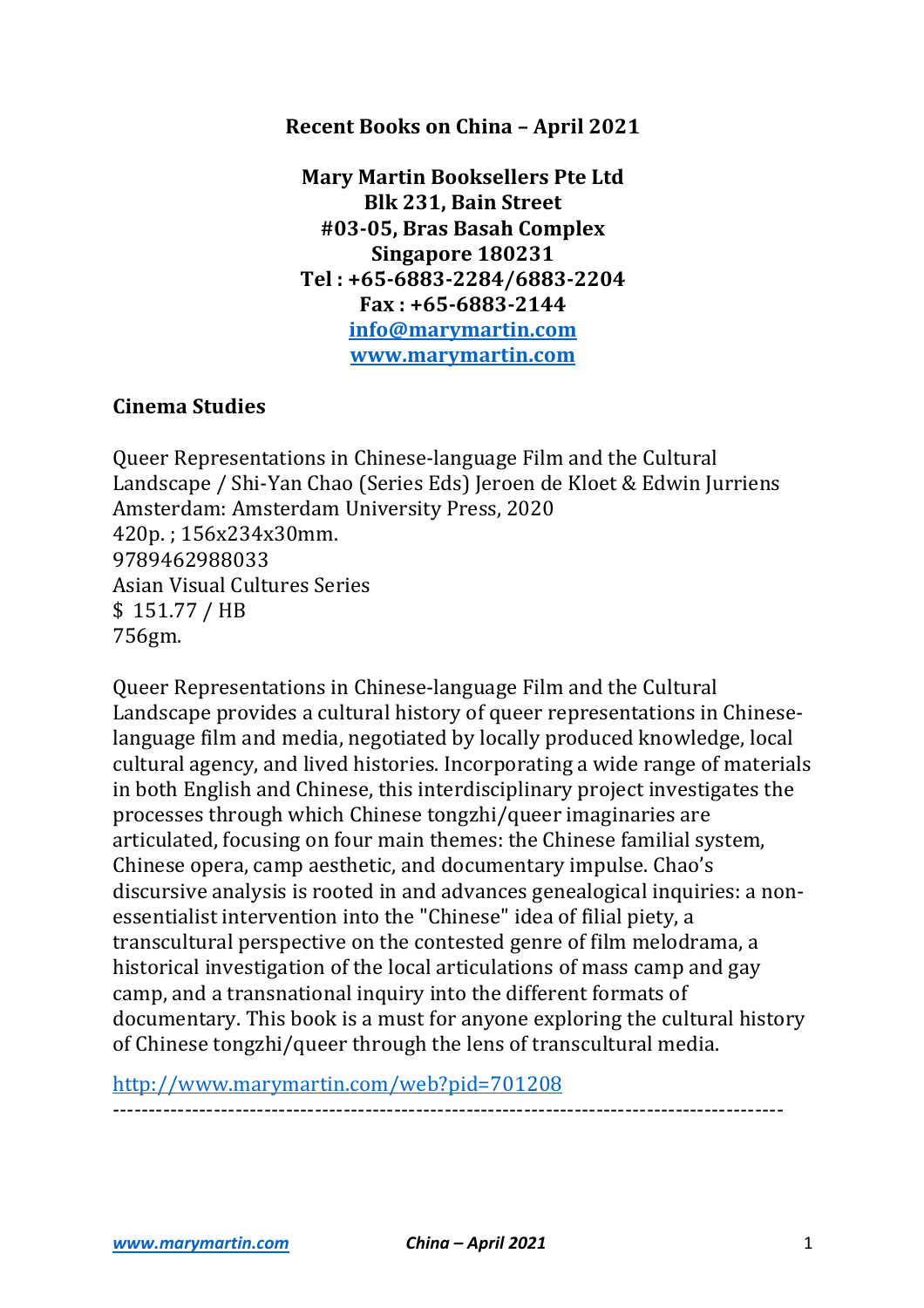#### **Recent Books on China - April 2021**

**Mary Martin Booksellers Pte Ltd Blk 231, Bain Street #03-05, Bras Basah Complex Singapore 180231 Tel : +65-6883-2284/6883-2204 Fax : +65-6883-2144 info@marymartin.com www.marymartin.com**

## **Cinema Studies**

Queer Representations in Chinese-language Film and the Cultural Landscape / Shi-Yan Chao (Series Eds) Jeroen de Kloet & Edwin Jurriens Amsterdam: Amsterdam University Press, 2020 420p. ; 156x234x30mm. 9789462988033 Asian Visual Cultures Series \$ 151.77 / HB 756gm.

Queer Representations in Chinese-language Film and the Cultural Landscape provides a cultural history of queer representations in Chineselanguage film and media, negotiated by locally produced knowledge, local cultural agency, and lived histories. Incorporating a wide range of materials in both English and Chinese, this interdisciplinary project investigates the processes through which Chinese tongzhi/queer imaginaries are articulated, focusing on four main themes: the Chinese familial system, Chinese opera, camp aesthetic, and documentary impulse. Chao's discursive analysis is rooted in and advances genealogical inquiries: a nonessentialist intervention into the "Chinese" idea of filial piety, a transcultural perspective on the contested genre of film melodrama, a historical investigation of the local articulations of mass camp and gay camp, and a transnational inquiry into the different formats of documentary. This book is a must for anyone exploring the cultural history of Chinese tongzhi/queer through the lens of transcultural media.

http://www.marymartin.com/web?pid=701208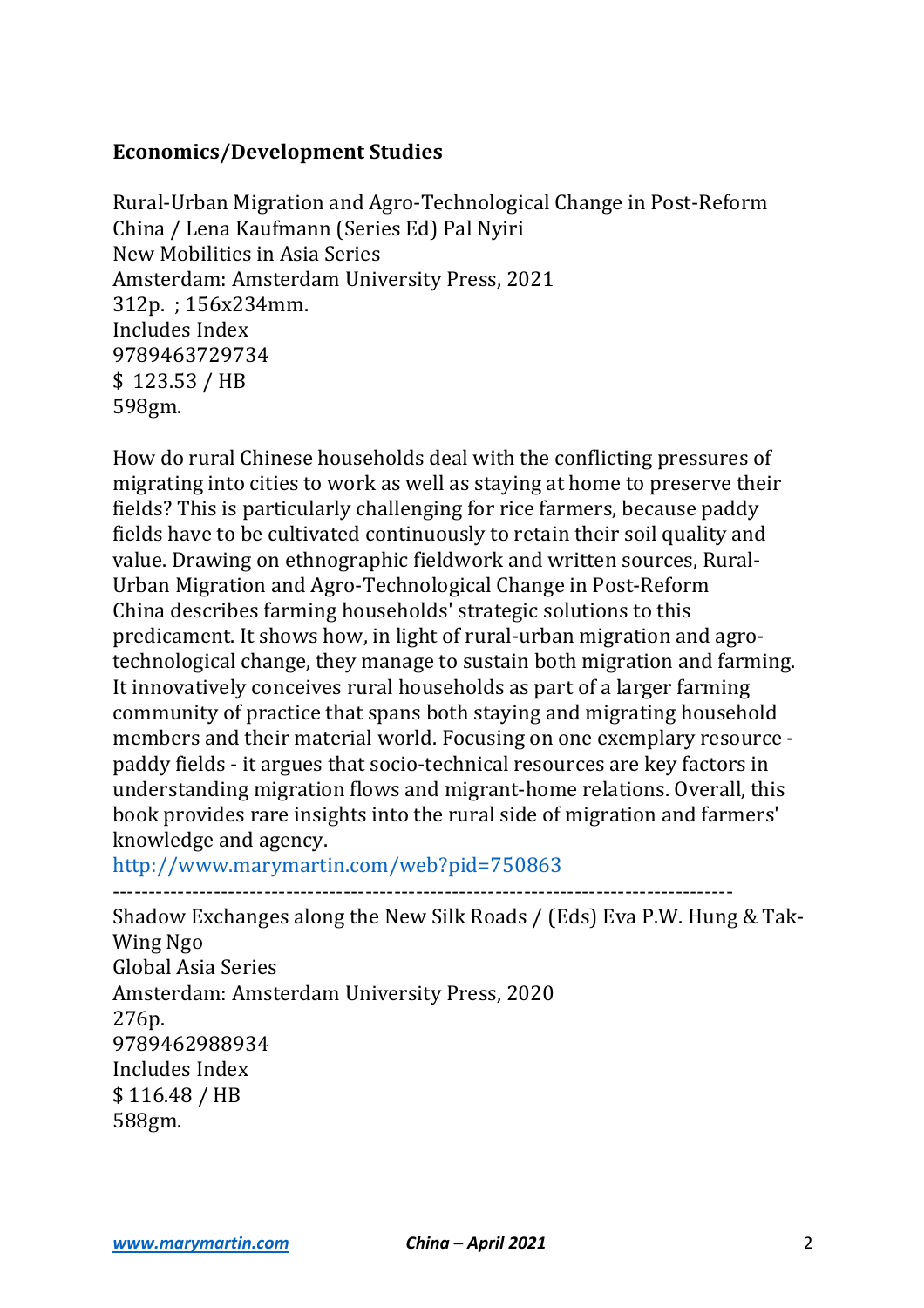## **Economics/Development Studies**

Rural-Urban Migration and Agro-Technological Change in Post-Reform China / Lena Kaufmann (Series Ed) Pal Nyiri New Mobilities in Asia Series Amsterdam: Amsterdam University Press, 2021 312p.: 156x234mm. Includes Index 9789463729734  $$123.53 / HB$ 598gm.

How do rural Chinese households deal with the conflicting pressures of migrating into cities to work as well as staying at home to preserve their fields? This is particularly challenging for rice farmers, because paddy fields have to be cultivated continuously to retain their soil quality and value. Drawing on ethnographic fieldwork and written sources, Rural-Urban Migration and Agro-Technological Change in Post-Reform China describes farming households' strategic solutions to this predicament. It shows how, in light of rural-urban migration and agrotechnological change, they manage to sustain both migration and farming. It innovatively conceives rural households as part of a larger farming community of practice that spans both staying and migrating household members and their material world. Focusing on one exemplary resource paddy fields - it argues that socio-technical resources are key factors in understanding migration flows and migrant-home relations. Overall, this book provides rare insights into the rural side of migration and farmers' knowledge and agency.

http://www.marymartin.com/web?pid=750863

 $-$ 

Shadow Exchanges along the New Silk Roads / (Eds) Eva P.W. Hung & Tak-Wing Ngo Global Asia Series Amsterdam: Amsterdam University Press, 2020 276p. 9789462988934 Includes Index \$ 116.48 / HB 588gm.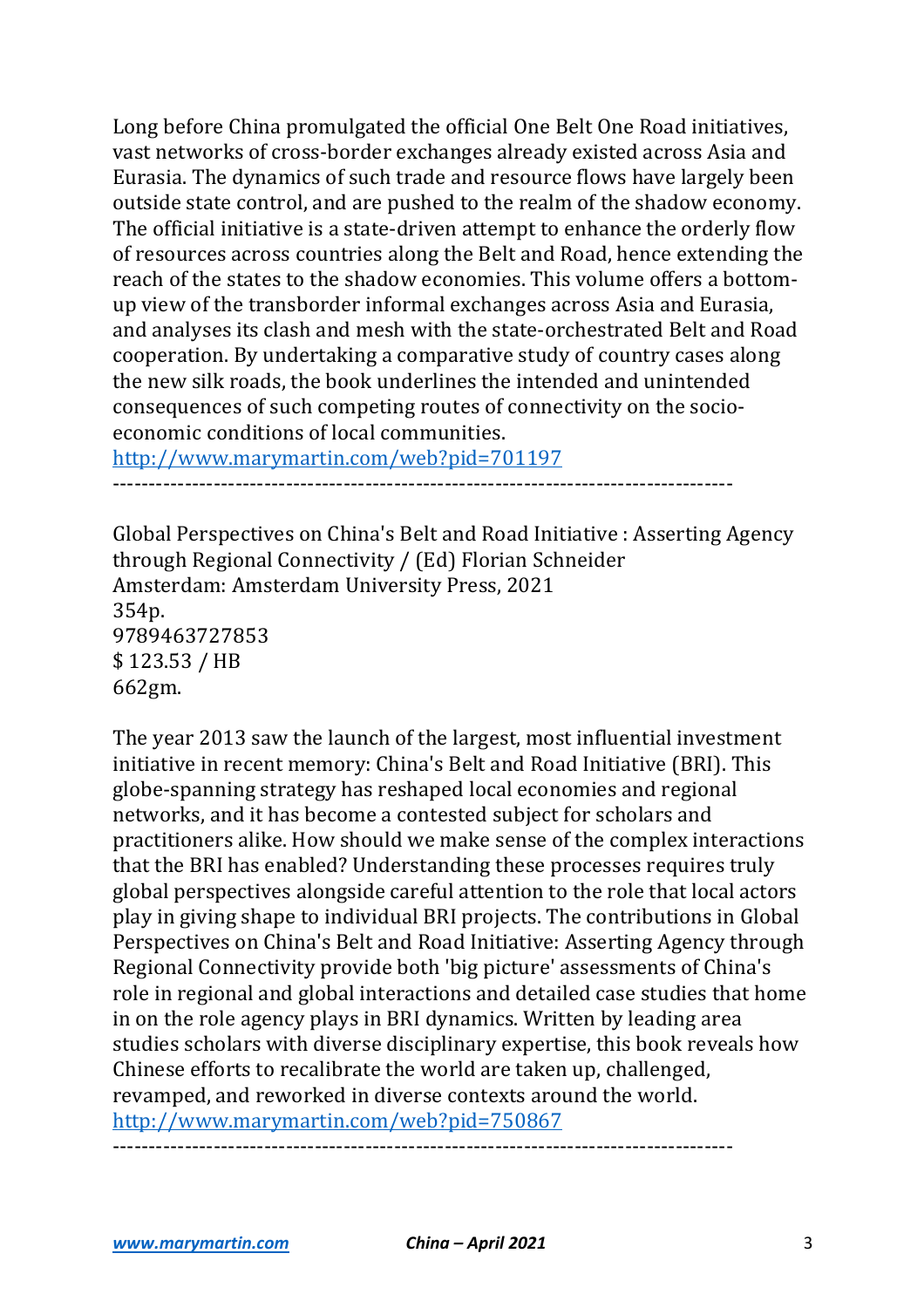Long before China promulgated the official One Belt One Road initiatives, vast networks of cross-border exchanges already existed across Asia and Eurasia. The dynamics of such trade and resource flows have largely been outside state control, and are pushed to the realm of the shadow economy. The official initiative is a state-driven attempt to enhance the orderly flow of resources across countries along the Belt and Road, hence extending the reach of the states to the shadow economies. This volume offers a bottomup view of the transborder informal exchanges across Asia and Eurasia, and analyses its clash and mesh with the state-orchestrated Belt and Road cooperation. By undertaking a comparative study of country cases along the new silk roads, the book underlines the intended and unintended consequences of such competing routes of connectivity on the socioeconomic conditions of local communities.

http://www.marymartin.com/web?pid=701197

--------------------------------------------------------------------------------------

Global Perspectives on China's Belt and Road Initiative : Asserting Agency through Regional Connectivity / (Ed) Florian Schneider Amsterdam: Amsterdam University Press, 2021 354p. 9789463727853 \$ 123.53 / HB 662gm.

The year 2013 saw the launch of the largest, most influential investment initiative in recent memory: China's Belt and Road Initiative (BRI). This globe-spanning strategy has reshaped local economies and regional networks, and it has become a contested subject for scholars and practitioners alike. How should we make sense of the complex interactions that the BRI has enabled? Understanding these processes requires truly global perspectives alongside careful attention to the role that local actors play in giving shape to individual BRI projects. The contributions in Global Perspectives on China's Belt and Road Initiative: Asserting Agency through Regional Connectivity provide both 'big picture' assessments of China's role in regional and global interactions and detailed case studies that home in on the role agency plays in BRI dynamics. Written by leading area studies scholars with diverse disciplinary expertise, this book reveals how Chinese efforts to recalibrate the world are taken up, challenged, revamped, and reworked in diverse contexts around the world. http://www.marymartin.com/web?pid=750867

--------------------------------------------------------------------------------------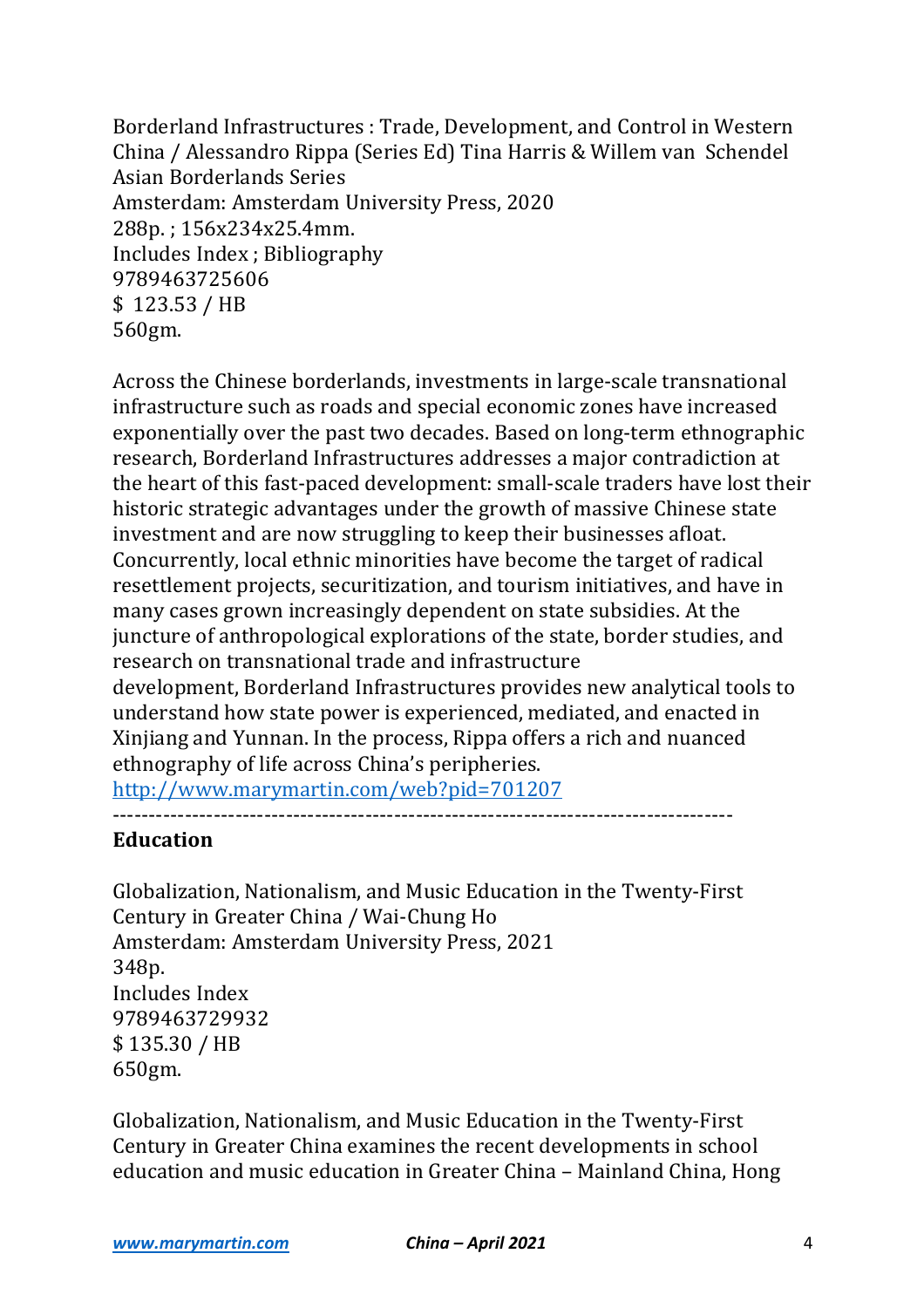Borderland Infrastructures : Trade, Development, and Control in Western China / Alessandro Rippa (Series Ed) Tina Harris & Willem van Schendel Asian Borderlands Series Amsterdam: Amsterdam University Press, 2020 288p.; 156x234x25.4mm. Includes Index ; Bibliography 9789463725606 \$ 123.53 / HB 560gm.

Across the Chinese borderlands, investments in large-scale transnational infrastructure such as roads and special economic zones have increased exponentially over the past two decades. Based on long-term ethnographic research, Borderland Infrastructures addresses a major contradiction at the heart of this fast-paced development: small-scale traders have lost their historic strategic advantages under the growth of massive Chinese state investment and are now struggling to keep their businesses afloat. Concurrently, local ethnic minorities have become the target of radical resettlement projects, securitization, and tourism initiatives, and have in many cases grown increasingly dependent on state subsidies. At the juncture of anthropological explorations of the state, border studies, and research on transnational trade and infrastructure development. Borderland Infrastructures provides new analytical tools to understand how state power is experienced, mediated, and enacted in Xinjiang and Yunnan. In the process, Rippa offers a rich and nuanced ethnography of life across China's peripheries. http://www.marymartin.com/web?pid=701207

# --------------------------------------------------------------------------------------

#### **Education**

Globalization, Nationalism, and Music Education in the Twenty-First Century in Greater China / Wai-Chung Ho Amsterdam: Amsterdam University Press, 2021 348p. Includes Index 9789463729932 \$ 135.30 / HB 650gm.

Globalization, Nationalism, and Music Education in the Twenty-First Century in Greater China examines the recent developments in school education and music education in Greater China - Mainland China, Hong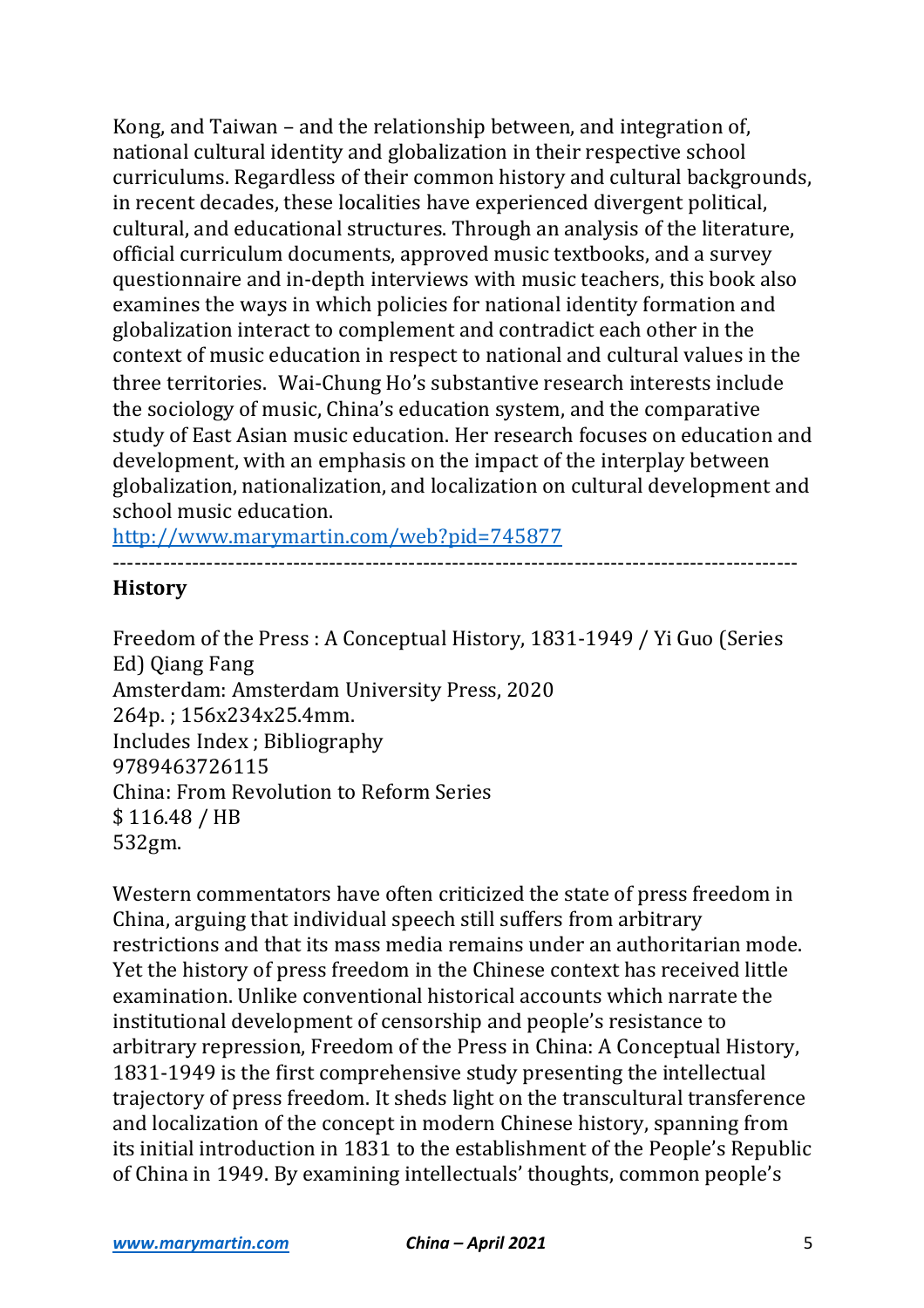Kong, and Taiwan – and the relationship between, and integration of, national cultural identity and globalization in their respective school curriculums. Regardless of their common history and cultural backgrounds, in recent decades, these localities have experienced divergent political, cultural, and educational structures. Through an analysis of the literature, official curriculum documents, approved music textbooks, and a survey questionnaire and in-depth interviews with music teachers, this book also examines the ways in which policies for national identity formation and globalization interact to complement and contradict each other in the context of music education in respect to national and cultural values in the three territories. Wai-Chung Ho's substantive research interests include the sociology of music, China's education system, and the comparative study of East Asian music education. Her research focuses on education and development, with an emphasis on the impact of the interplay between globalization, nationalization, and localization on cultural development and school music education.

http://www.marymartin.com/web?pid=745877

#### ----------------------------------------------------------------------------------------------- **History**

Freedom of the Press : A Conceptual History, 1831-1949 / Yi Guo (Series Ed) Qiang Fang Amsterdam: Amsterdam University Press, 2020 264p.; 156x234x25.4mm. Includes Index ; Bibliography 9789463726115 China: From Revolution to Reform Series \$ 116.48 / HB 532gm.

Western commentators have often criticized the state of press freedom in China, arguing that individual speech still suffers from arbitrary restrictions and that its mass media remains under an authoritarian mode. Yet the history of press freedom in the Chinese context has received little examination. Unlike conventional historical accounts which narrate the institutional development of censorship and people's resistance to arbitrary repression, Freedom of the Press in China: A Conceptual History, 1831-1949 is the first comprehensive study presenting the intellectual trajectory of press freedom. It sheds light on the transcultural transference and localization of the concept in modern Chinese history, spanning from its initial introduction in 1831 to the establishment of the People's Republic of China in 1949. By examining intellectuals' thoughts, common people's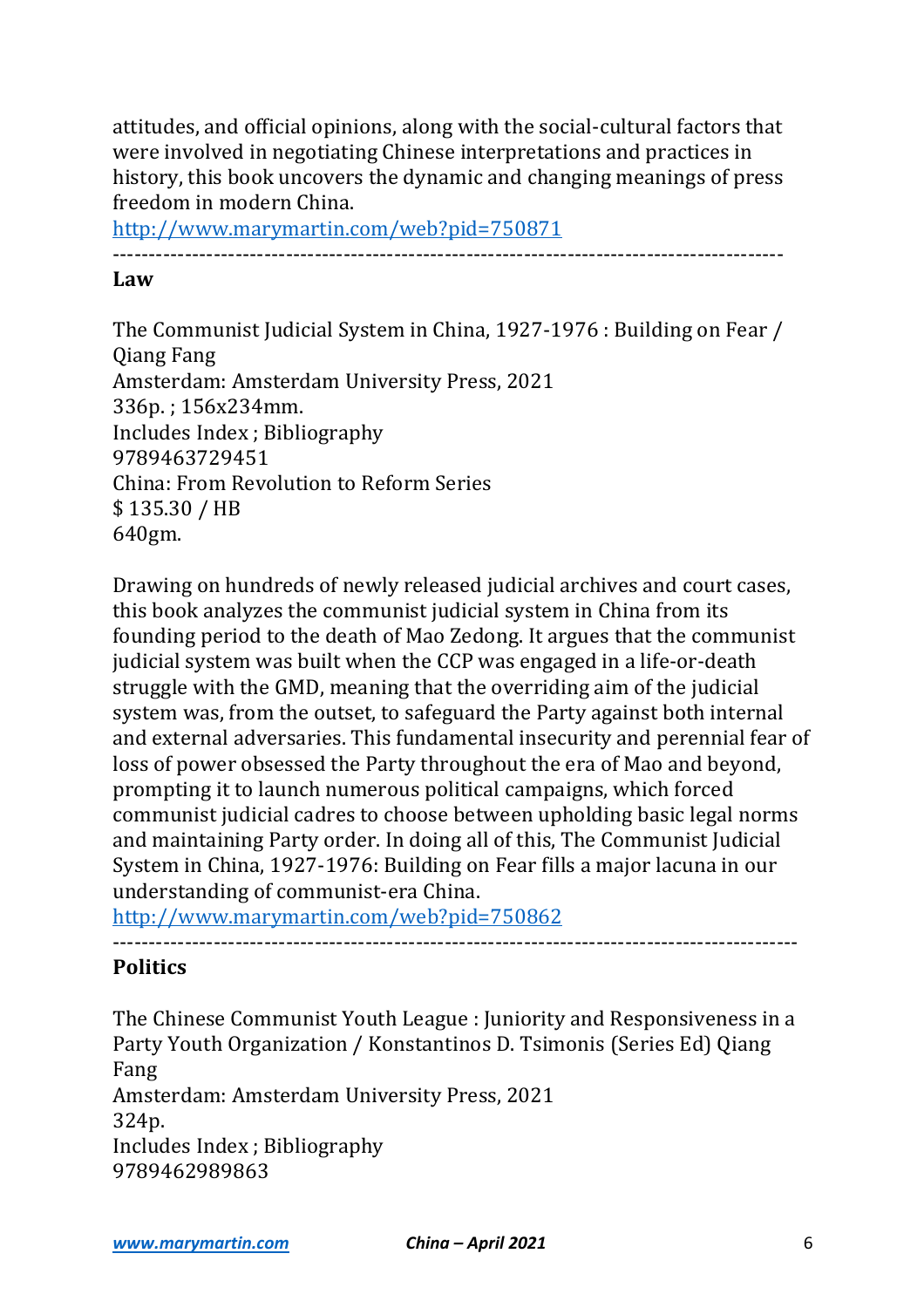attitudes, and official opinions, along with the social-cultural factors that were involved in negotiating Chinese interpretations and practices in history, this book uncovers the dynamic and changing meanings of press freedom in modern China.

http://www.marymartin.com/web?pid=750871

---------------------------------------------------------------------------------------------

## **Law**

The Communist Judicial System in China, 1927-1976 : Building on Fear / **Qiang Fang** Amsterdam: Amsterdam University Press, 2021 336p.: 156x234mm. Includes Index ; Bibliography 9789463729451 China: From Revolution to Reform Series \$ 135.30 / HB 640gm.

Drawing on hundreds of newly released judicial archives and court cases, this book analyzes the communist judicial system in China from its founding period to the death of Mao Zedong. It argues that the communist judicial system was built when the CCP was engaged in a life-or-death struggle with the GMD, meaning that the overriding aim of the judicial system was, from the outset, to safeguard the Party against both internal and external adversaries. This fundamental insecurity and perennial fear of loss of power obsessed the Party throughout the era of Mao and beyond, prompting it to launch numerous political campaigns, which forced communist judicial cadres to choose between upholding basic legal norms and maintaining Party order. In doing all of this, The Communist Judicial System in China, 1927-1976: Building on Fear fills a major lacuna in our understanding of communist-era China.

http://www.marymartin.com/web?pid=750862

# **Politics**

The Chinese Communist Youth League : Juniority and Responsiveness in a Party Youth Organization / Konstantinos D. Tsimonis (Series Ed) Qiang Fang Amsterdam: Amsterdam University Press, 2021 324p. Includes Index ; Bibliography 9789462989863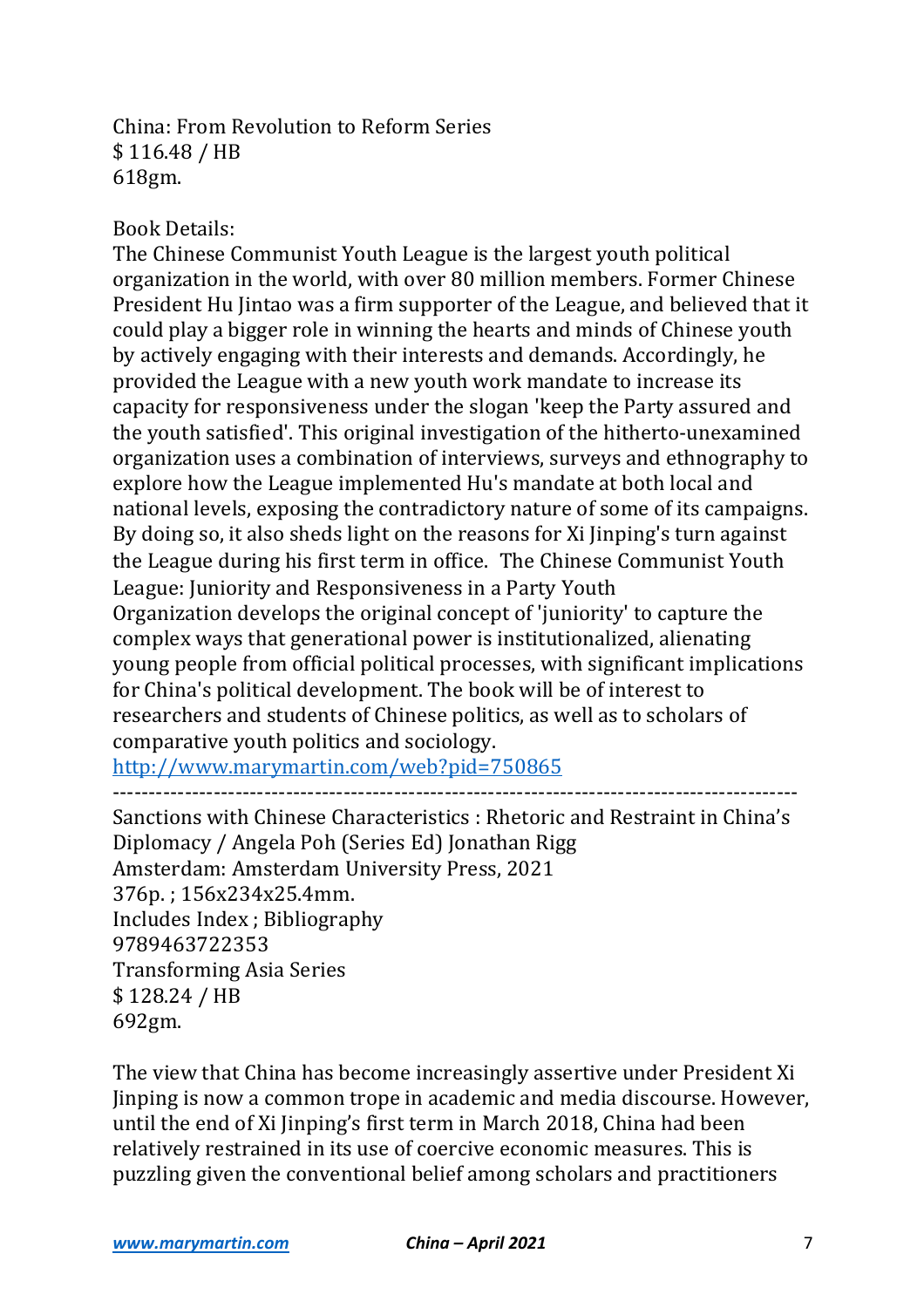## China: From Revolution to Reform Series \$ 116.48 / HB 618gm.

## Book Details:

The Chinese Communist Youth League is the largest youth political organization in the world, with over 80 million members. Former Chinese President Hu Jintao was a firm supporter of the League, and believed that it could play a bigger role in winning the hearts and minds of Chinese youth by actively engaging with their interests and demands. Accordingly, he provided the League with a new youth work mandate to increase its capacity for responsiveness under the slogan 'keep the Party assured and the youth satisfied'. This original investigation of the hitherto-unexamined organization uses a combination of interviews, surveys and ethnography to explore how the League implemented Hu's mandate at both local and national levels, exposing the contradictory nature of some of its campaigns. By doing so, it also sheds light on the reasons for Xi Jinping's turn against the League during his first term in office. The Chinese Communist Youth League: Juniority and Responsiveness in a Party Youth Organization develops the original concept of 'juniority' to capture the complex ways that generational power is institutionalized, alienating young people from official political processes, with significant implications for China's political development. The book will be of interest to researchers and students of Chinese politics, as well as to scholars of comparative youth politics and sociology.

http://www.marymartin.com/web?pid=750865

-----------------------------------------------------------------------------------------------

Sanctions with Chinese Characteristics : Rhetoric and Restraint in China's Diplomacy / Angela Poh (Series Ed) Jonathan Rigg Amsterdam: Amsterdam University Press, 2021 376p.; 156x234x25.4mm. Includes Index ; Bibliography 9789463722353 Transforming Asia Series \$ 128.24 / HB 692gm.

The view that China has become increasingly assertive under President Xi Jinping is now a common trope in academic and media discourse. However, until the end of Xi Jinping's first term in March 2018, China had been relatively restrained in its use of coercive economic measures. This is puzzling given the conventional belief among scholars and practitioners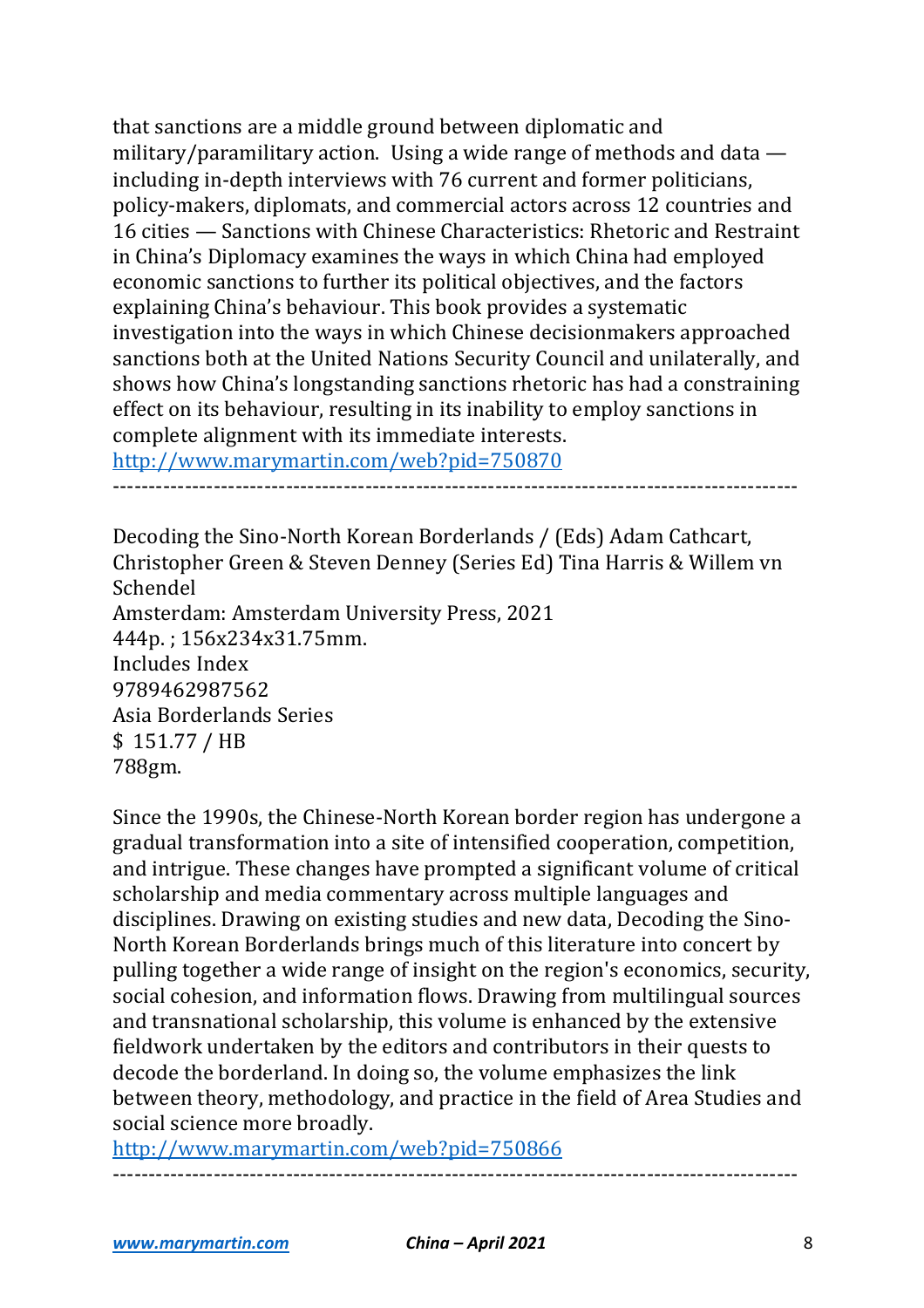that sanctions are a middle ground between diplomatic and military/paramilitary action. Using a wide range of methods and data  $$ including in-depth interviews with 76 current and former politicians, policy-makers, diplomats, and commercial actors across 12 countries and 16 cities — Sanctions with Chinese Characteristics: Rhetoric and Restraint in China's Diplomacy examines the ways in which China had employed economic sanctions to further its political objectives, and the factors explaining China's behaviour. This book provides a systematic investigation into the ways in which Chinese decisionmakers approached sanctions both at the United Nations Security Council and unilaterally, and shows how China's longstanding sanctions rhetoric has had a constraining effect on its behaviour, resulting in its inability to employ sanctions in complete alignment with its immediate interests. http://www.marymartin.com/web?pid=750870

-----------------------------------------------------------------------------------------------

Decoding the Sino-North Korean Borderlands / (Eds) Adam Cathcart, Christopher Green & Steven Denney (Series Ed) Tina Harris & Willem vn Schendel Amsterdam: Amsterdam University Press, 2021 444p. ; 156x234x31.75mm. Includes Index 9789462987562 Asia Borderlands Series \$ 151.77 / HB 788gm.

Since the 1990s, the Chinese-North Korean border region has undergone a gradual transformation into a site of intensified cooperation, competition, and intrigue. These changes have prompted a significant volume of critical scholarship and media commentary across multiple languages and disciplines. Drawing on existing studies and new data, Decoding the Sino-North Korean Borderlands brings much of this literature into concert by pulling together a wide range of insight on the region's economics, security, social cohesion, and information flows. Drawing from multilingual sources and transnational scholarship, this volume is enhanced by the extensive fieldwork undertaken by the editors and contributors in their quests to decode the borderland. In doing so, the volume emphasizes the link between theory, methodology, and practice in the field of Area Studies and social science more broadly.

http://www.marymartin.com/web?pid=750866

-----------------------------------------------------------------------------------------------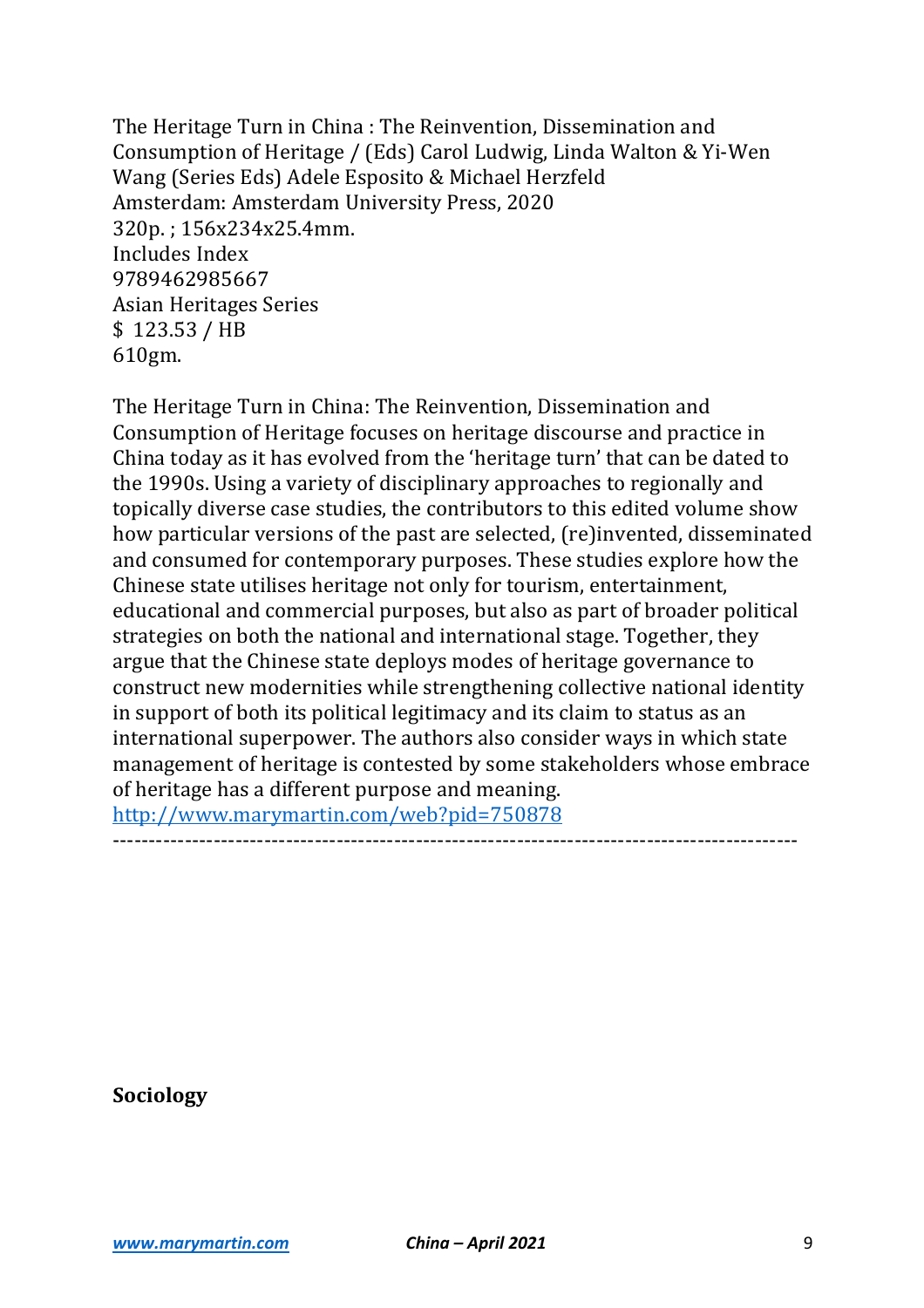The Heritage Turn in China: The Reinvention, Dissemination and Consumption of Heritage / (Eds) Carol Ludwig, Linda Walton & Yi-Wen Wang (Series Eds) Adele Esposito & Michael Herzfeld Amsterdam: Amsterdam University Press, 2020 320p. ; 156x234x25.4mm. Includes Index 9789462985667 Asian Heritages Series \$ 123.53 / HB 610gm.

The Heritage Turn in China: The Reinvention, Dissemination and Consumption of Heritage focuses on heritage discourse and practice in China today as it has evolved from the 'heritage turn' that can be dated to the 1990s. Using a variety of disciplinary approaches to regionally and topically diverse case studies, the contributors to this edited volume show how particular versions of the past are selected, (re)invented, disseminated and consumed for contemporary purposes. These studies explore how the Chinese state utilises heritage not only for tourism, entertainment, educational and commercial purposes, but also as part of broader political strategies on both the national and international stage. Together, they argue that the Chinese state deploys modes of heritage governance to construct new modernities while strengthening collective national identity in support of both its political legitimacy and its claim to status as an international superpower. The authors also consider ways in which state management of heritage is contested by some stakeholders whose embrace of heritage has a different purpose and meaning. http://www.marymartin.com/web?pid=750878

-----------------------------------------------------------------------------------------------

**Sociology**